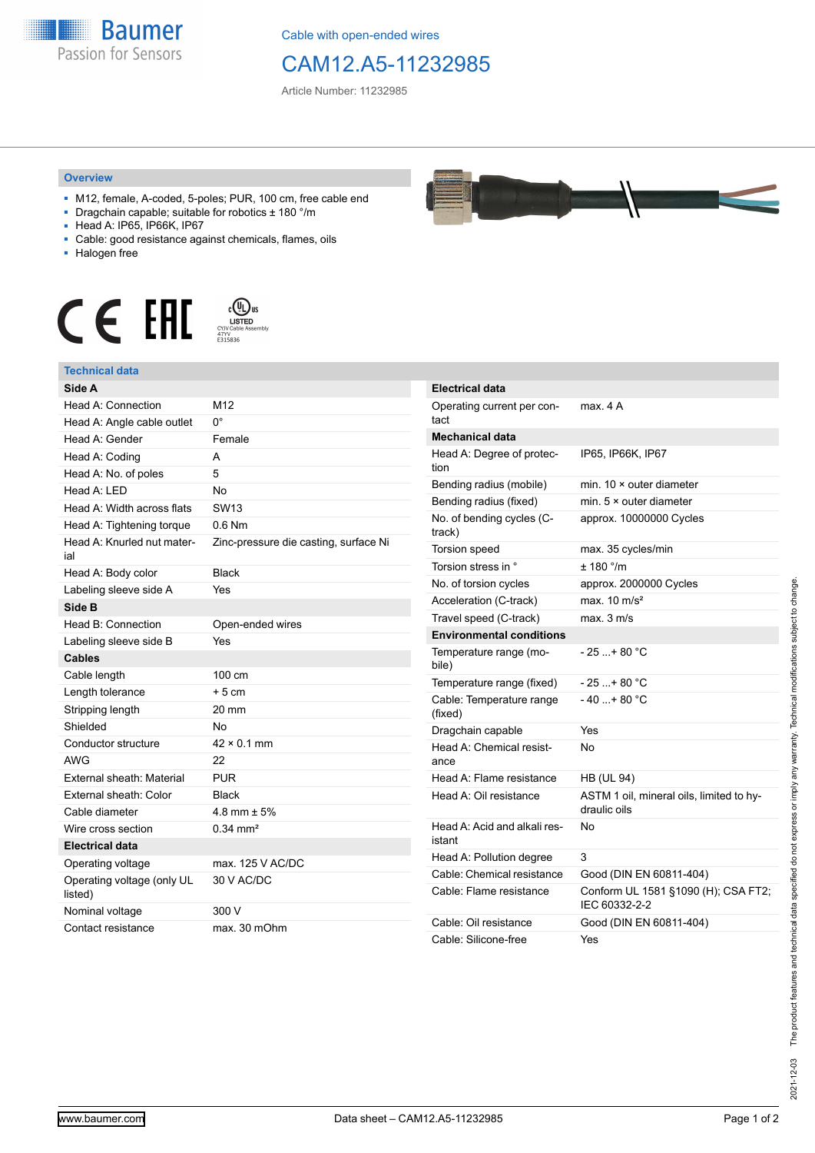

Cable with open-ended wires

## CAM12.A5-11232985

Article Number: 11232985

## **Overview**

- M12, female, A-coded, 5-poles; PUR, 100 cm, free cable end
- Dragchain capable; suitable for robotics ± 180 °/m
- Head A: IP65, IP66K, IP67
- Cable: good resistance against chemicals, flames, oils
- Halogen free





| Side A                                |                                       |
|---------------------------------------|---------------------------------------|
| Head A: Connection                    | M12                                   |
| Head A: Angle cable outlet            | $0^{\circ}$                           |
| Head A: Gender                        | Female                                |
| Head A: Coding                        | A                                     |
| Head A: No. of poles                  | 5                                     |
| Head $A \cdot IFD$                    | No                                    |
| Head A: Width across flats            | SW <sub>13</sub>                      |
| Head A: Tightening torque             | $0.6$ Nm                              |
| Head A: Knurled nut mater-<br>ial     | Zinc-pressure die casting, surface Ni |
| Head A: Body color                    | <b>Black</b>                          |
| Labeling sleeve side A                | Yes                                   |
| Side B                                |                                       |
| Head B: Connection                    | Open-ended wires                      |
| Labeling sleeve side B                | Yes                                   |
| <b>Cables</b>                         |                                       |
| Cable length                          | 100 cm                                |
| Length tolerance                      | $+5cm$                                |
| Stripping length                      | 20 mm                                 |
| Shielded                              | No                                    |
| Conductor structure                   | $42 \times 0.1$ mm                    |
| AWG                                   | 22                                    |
| External sheath: Material             | <b>PUR</b>                            |
| External sheath: Color                | <b>Black</b>                          |
| Cable diameter                        | $4.8$ mm $\pm 5%$                     |
| Wire cross section                    | $0.34 \text{ mm}^2$                   |
| <b>Electrical data</b>                |                                       |
| Operating voltage                     | max, 125 V AC/DC                      |
| Operating voltage (only UL<br>listed) | 30 V AC/DC                            |
| Nominal voltage                       | 300 V                                 |
| Contact resistance                    | max. 30 mOhm                          |



| Electrical data                        |                                                          |
|----------------------------------------|----------------------------------------------------------|
| Operating current per con-<br>tact     | max. 4 A                                                 |
| Mechanical data                        |                                                          |
| Head A: Degree of protec-<br>tion      | IP65, IP66K, IP67                                        |
| Bending radius (mobile)                | min. 10 × outer diameter                                 |
| Bending radius (fixed)                 | min. $5 \times$ outer diameter                           |
| No. of bending cycles (C-<br>track)    | approx. 10000000 Cycles                                  |
| <b>Torsion speed</b>                   | max. 35 cycles/min                                       |
| Torsion stress in °                    | ± 180 °/m                                                |
| No. of torsion cycles                  | approx. 2000000 Cycles                                   |
| Acceleration (C-track)                 | max. $10 \text{ m/s}^2$                                  |
| Travel speed (C-track)                 | max. 3 m/s                                               |
| <b>Environmental conditions</b>        |                                                          |
| Temperature range (mo-<br>bile)        | $-25$ + 80 °C                                            |
| Temperature range (fixed)              | - 25 + 80 °C                                             |
| Cable: Temperature range<br>(fixed)    | $-40$ + 80 °C                                            |
| Dragchain capable                      | Yes                                                      |
| Head A: Chemical resist-<br>ance       | No                                                       |
| Head A: Flame resistance               | <b>HB (UL 94)</b>                                        |
| Head A: Oil resistance                 | ASTM 1 oil, mineral oils, limited to hy-<br>draulic oils |
| Head A: Acid and alkali res-<br>istant | No                                                       |
| Head A: Pollution degree               | 3                                                        |
| Cable: Chemical resistance             | Good (DIN EN 60811-404)                                  |
| Cable: Flame resistance                | Conform UL 1581 §1090 (H); CSA FT2;<br>IEC 60332-2-2     |
| Cable: Oil resistance                  | Good (DIN EN 60811-404)                                  |
| Cable: Silicone-free                   | Yes                                                      |